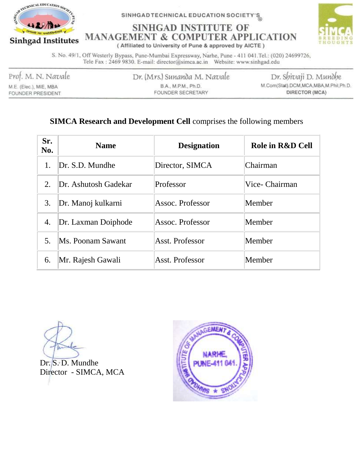

SINHGADTECHNICAL EDUCATION SOCIETY'S

### **SINHGAD INSTITUTE OF MANAGEMENT & COMPUTER APPLICATION**



(Affiliated to University of Pune & approved by AICTE)

S. No. 49/1, Off Westerly Bypass, Pune-Mumbai Expressway, Narhe, Pune - 411 041. Tel.: (020) 24699726, Tele Fax: 2469 9830. E-mail: director@simca.ac.in Website: www.sinhgad.edu

Prof. M. N. Navale M.E. (Elec.), MIE, MBA

FOUNDER PRESIDENT

Dr. (Mrs.) Sunanda M. Navale B.A., M.P.M., Ph.D. FOUNDER SECRETARY

Dr. Shivaji D. Mundhe M.Com(Stat).DCM,MCA,MBA,M,Phil,Ph.D. DIRECTOR (MCA)

#### **SIMCA Research and Development Cell** comprises the following members

| Sr.<br>No. | <b>Name</b>          | <b>Designation</b> | Role in R&D Cell |
|------------|----------------------|--------------------|------------------|
| 1.         | Dr. S.D. Mundhe      | Director, SIMCA    | Chairman         |
| 2.         | Dr. Ashutosh Gadekar | Professor          | Vice- Chairman   |
| 3.         | Dr. Manoj kulkarni   | Assoc. Professor   | Member           |
| 4.         | Dr. Laxman Doiphode  | Assoc. Professor   | Member           |
| 5.         | Ms. Poonam Sawant    | Asst. Professor    | Member           |
| 6.         | Mr. Rajesh Gawali    | Asst. Professor    | Member           |

Dr. S. D. Mundhe Director - SIMCA, MCA

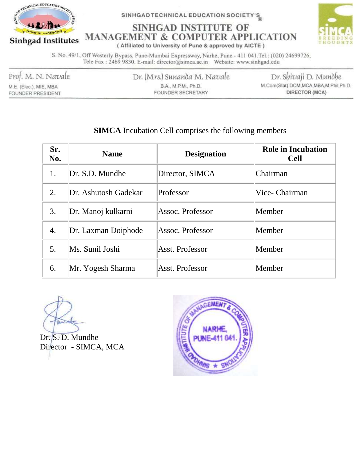

SINHGADTECHNICAL EDUCATION SOCIETY'S

## **SINHGAD INSTITUTE OF MANAGEMENT & COMPUTER APPLICATION**



(Affiliated to University of Pune & approved by AICTE)

S. No. 49/1, Off Westerly Bypass, Pune-Mumbai Expressway, Narhe, Pune - 411 041. Tel.: (020) 24699726, Tele Fax: 2469 9830. E-mail: director@simca.ac.in Website: www.sinhgad.edu

Prof. M. N. Navale

M.E. (Elec.), MIE, MBA FOUNDER PRESIDENT Dr. (Mrs.) Sunanda M. Navale B.A., M.P.M., Ph.D. FOUNDER SECRETARY

Dr. Shivaji D. Mundhe M.Com(Stat).DCM,MCA,MBA,M,Phil,Ph.D. DIRECTOR (MCA)

#### **SIMCA** Incubation Cell comprises the following members

| Sr.<br>No. | <b>Name</b>          | <b>Designation</b> | <b>Role in Incubation</b><br><b>Cell</b> |
|------------|----------------------|--------------------|------------------------------------------|
| 1.         | Dr. S.D. Mundhe      | Director, SIMCA    | Chairman                                 |
| 2.         | Dr. Ashutosh Gadekar | Professor          | Vice- Chairman                           |
| 3.         | Dr. Manoj kulkarni   | Assoc. Professor   | Member                                   |
| 4.         | Dr. Laxman Doiphode  | Assoc. Professor   | Member                                   |
| 5.         | Ms. Sunil Joshi      | Asst. Professor    | Member                                   |
| 6.         | Mr. Yogesh Sharma    | Asst. Professor    | Member                                   |

Dr. S. D. Mundhe Director - SIMCA, MCA

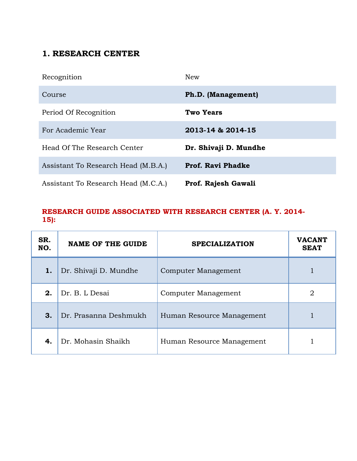#### **1. RESEARCH CENTER**

| Recognition                         | <b>New</b>               |
|-------------------------------------|--------------------------|
| Course                              | Ph.D. (Management)       |
| Period Of Recognition               | Two Years                |
| For Academic Year                   | 2013-14 & 2014-15        |
| Head Of The Research Center         | Dr. Shivaji D. Mundhe    |
| Assistant To Research Head (M.B.A.) | <b>Prof. Ravi Phadke</b> |
| Assistant To Research Head (M.C.A.) | Prof. Rajesh Gawali      |

#### **RESEARCH GUIDE ASSOCIATED WITH RESEARCH CENTER (A. Y. 2014- 15):**

| SR.<br>NO. | <b>NAME OF THE GUIDE</b> | <b>SPECIALIZATION</b>     | <b>VACANT</b><br><b>SEAT</b> |
|------------|--------------------------|---------------------------|------------------------------|
| 1.         | Dr. Shivaji D. Mundhe    | Computer Management       |                              |
| 2.         | Dr. B. L Desai           | Computer Management       | $\overline{2}$               |
| 3.         | Dr. Prasanna Deshmukh    | Human Resource Management |                              |
| 4.         | Dr. Mohasin Shaikh       | Human Resource Management |                              |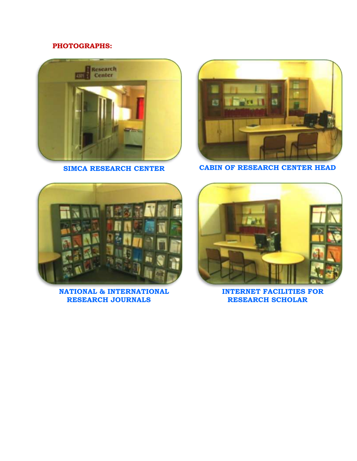#### **PHOTOGRAPHS:**





**SIMCA RESEARCH CENTER CABIN OF RESEARCH CENTER HEAD**



**NATIONAL & INTERNATIONAL RESEARCH JOURNALS**



**INTERNET FACILITIES FOR RESEARCH SCHOLAR**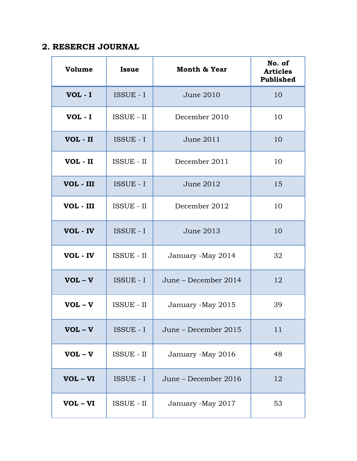#### **2. RESERCH JOURNAL**

| Volume     | <b>Issue</b>      | <b>Month &amp; Year</b> | No. of<br><b>Articles</b><br><b>Published</b> |
|------------|-------------------|-------------------------|-----------------------------------------------|
| $VOL - I$  | <b>ISSUE - I</b>  | June 2010               | 10                                            |
| $VOL - I$  | <b>ISSUE - II</b> | December 2010           | 10                                            |
| VOL - II   | ISSUE - I         | June 2011               | 10                                            |
| VOL - II   | <b>ISSUE - II</b> | December 2011           | 10                                            |
| VOL - III  | ISSUE - I         | June 2012               | 15                                            |
| VOL - III  | <b>ISSUE - II</b> | December 2012           | 10                                            |
| VOL - IV   | <b>ISSUE - I</b>  | June 2013               | 10                                            |
| VOL - IV   | <b>ISSUE - II</b> | January -May 2014       | 32                                            |
| $VOL - V$  | <b>ISSUE - I</b>  | June - December 2014    | 12                                            |
| $VOL - V$  | <b>ISSUE - II</b> | January -May 2015       | 39                                            |
| $VOL - V$  | ISSUE - I         | June - December 2015    | 11                                            |
| $VOL - V$  | <b>ISSUE - II</b> | January -May 2016       | 48                                            |
| VOL - VI   | ISSUE - I         | June - December 2016    | 12                                            |
| $VOL - VI$ | <b>ISSUE - II</b> | January -May 2017       | 53                                            |